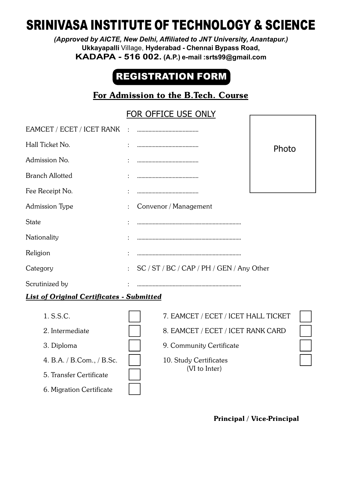# SRINIVASA INSTITUTE OF TECHNOLOGY & SCIENCE

*(Approved by AICTE, New Delhi, Affiliated to JNT University, Anantapur.)* **Ukkayapalli** Village, **Hyderabad - Chennai Bypass Road, KADAPA - 516 002. (A.P.) e-mail :srts99@gmail.com**

## REGISTRATION FORM

## For Admission to the B.Tech. Course

## FOR OFFICE USE ONLY

| EAMCET / ECET / ICET RANK                        |                                           |                                     |       |  |  |  |
|--------------------------------------------------|-------------------------------------------|-------------------------------------|-------|--|--|--|
| Hall Ticket No.                                  |                                           |                                     | Photo |  |  |  |
| Admission No.                                    |                                           |                                     |       |  |  |  |
| <b>Branch Allotted</b>                           |                                           |                                     |       |  |  |  |
| Fee Receipt No.                                  |                                           |                                     |       |  |  |  |
| <b>Admission Type</b>                            | Convenor / Management                     |                                     |       |  |  |  |
| <b>State</b>                                     |                                           |                                     |       |  |  |  |
| Nationality                                      |                                           |                                     |       |  |  |  |
| Religion                                         |                                           |                                     |       |  |  |  |
| Category                                         | SC / ST / BC / CAP / PH / GEN / Any Other |                                     |       |  |  |  |
| Scrutinized by                                   |                                           |                                     |       |  |  |  |
| <b>List of Original Certificates - Submitted</b> |                                           |                                     |       |  |  |  |
| 1. S.S.C.                                        |                                           | 7. EAMCET / ECET / ICET HALL TICKET |       |  |  |  |
| 2. Intermediate                                  |                                           | 8. EAMCET / ECET / ICET RANK CARD   |       |  |  |  |
| 3. Diploma                                       |                                           | 9. Community Certificate            |       |  |  |  |
| 4. B.A. / B.Com., / B.Sc.                        |                                           | 10. Study Certificates              |       |  |  |  |
| 5. Transfer Certificate                          |                                           | (VI to Inter)                       |       |  |  |  |
|                                                  |                                           |                                     |       |  |  |  |

6. Migration Certificate

Principal / Vice-Principal

 $\Gamma$ 

٦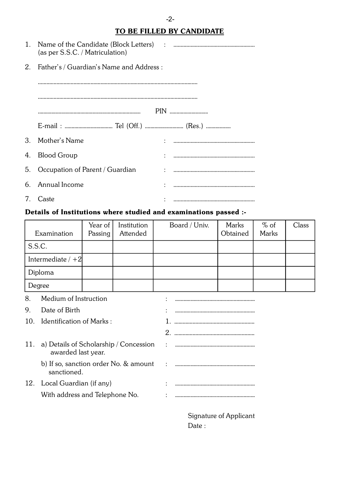### TO BE FILLED BY CANDIDATE

-2-

|         | (as per S.S.C. / Matriculation)          |  |
|---------|------------------------------------------|--|
| 2.      | Father's / Guardian's Name and Address : |  |
|         |                                          |  |
|         |                                          |  |
|         |                                          |  |
|         |                                          |  |
| $3_{-}$ | Mother's Name                            |  |
|         | 4. Blood Group                           |  |
|         | 5. Occupation of Parent / Guardian       |  |
|         | 6. Annual Income                         |  |
|         | 7. Caste                                 |  |

#### Details of Institutions where studied and examinations passed :-

|        |                                                              | Year of | Institution | Board / Univ. | Marks                  | $%$ of | Class |  |
|--------|--------------------------------------------------------------|---------|-------------|---------------|------------------------|--------|-------|--|
|        | Examination                                                  | Passing | Attended    |               | Obtained               | Marks  |       |  |
| S.S.C. |                                                              |         |             |               |                        |        |       |  |
|        | Intermediate $/ +2$                                          |         |             |               |                        |        |       |  |
|        | Diploma                                                      |         |             |               |                        |        |       |  |
|        | Degree                                                       |         |             |               |                        |        |       |  |
| 8.     | Medium of Instruction                                        |         |             |               |                        |        |       |  |
| 9.     | Date of Birth                                                |         |             |               |                        |        |       |  |
| 10.    | <b>Identification of Marks:</b>                              |         |             |               |                        |        |       |  |
|        |                                                              |         |             |               |                        |        |       |  |
| 11.    | a) Details of Scholarship / Concession<br>awarded last year. |         |             |               |                        |        |       |  |
|        | b) If so, sanction order No. & amount<br>sanctioned.         |         |             |               |                        |        |       |  |
| 12.    | Local Guardian (if any)                                      |         |             |               |                        |        |       |  |
|        | With address and Telephone No.                               |         |             |               |                        |        |       |  |
|        |                                                              |         |             |               | Signature of Applicant |        |       |  |

Signature of Applicant Date :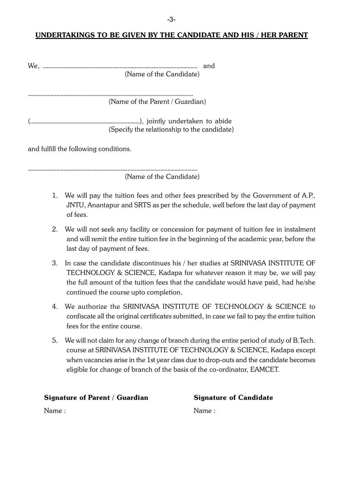#### UNDERTAKINGS TO BE GIVEN BY THE CANDIDATE AND HIS / HER PARENT

(Name of the Candidate)

(Name of the Parent / Guardian)

(Specify the relationship to the candidate)

and fulfill the following conditions.

(Name of the Candidate)

- 1. We will pay the tuition fees and other fees prescribed by the Government of A.P., JNTU, Anantapur and SRTS as per the schedule, well before the last day of payment of fees.
- 2. We will not seek any facility or concession for payment of tuition fee in instalment and will remit the entire tuition fee in the beginning of the academic year, before the last day of payment of fees.
- 3. In case the candidate discontinues his / her studies at SRINIVASA INSTITUTE OF TECHNOLOGY & SCIENCE, Kadapa for whatever reason it may be, we will pay the full amount of the tuition fees that the candidate would have paid, had he/she continued the course upto completion.
- We authorize the SRINIVASA INSTITUTE OF TECHNOLOGY & SCIENCE to  $4<sub>1</sub>$ confiscate all the original certificates submitted, in case we fail to pay the entire tuition fees for the entire course.
- 5. We will not claim for any change of branch during the entire period of study of B. Tech. course at SRINIVASA INSTITUTE OF TECHNOLOGY & SCIENCE, Kadapa except when vacancies arise in the 1st year class due to drop-outs and the candidate becomes eligible for change of branch of the basis of the co-ordinator, EAMCET.

| <b>Signature of Parent / Guardian</b> | <b>Signature of Candidate</b> |
|---------------------------------------|-------------------------------|
| Name:                                 | Name:                         |